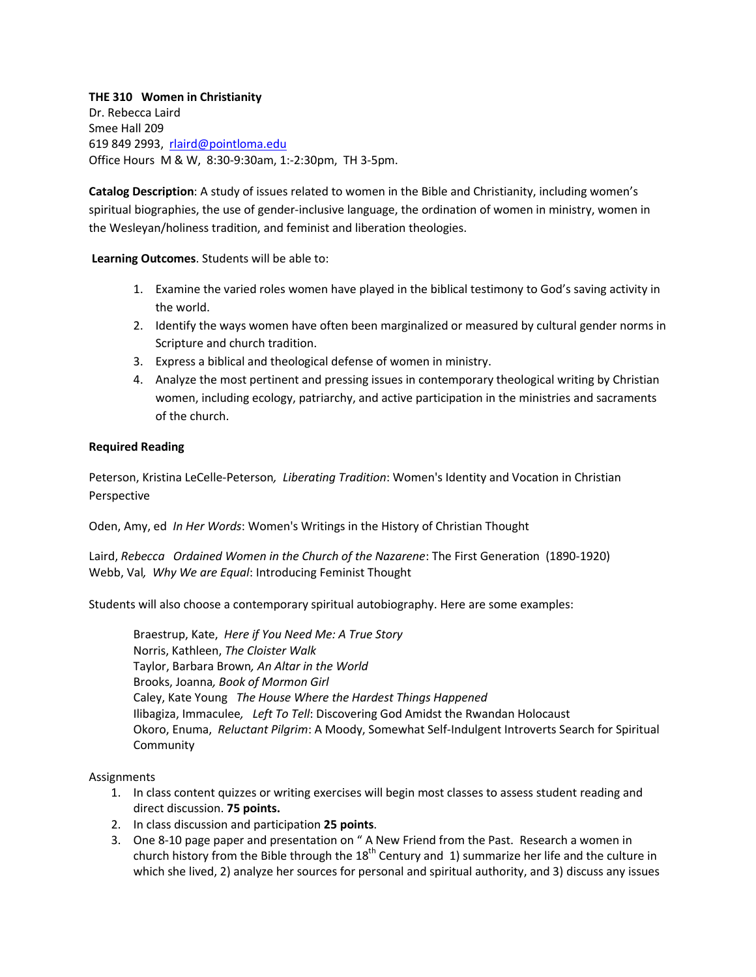## **THE 310 Women in Christianity**

Dr. Rebecca Laird Smee Hall 209 619 849 2993, [rlaird@pointloma.edu](mailto:rlaird@pointloma.edu) Office Hours M & W, 8:30-9:30am, 1:-2:30pm, TH 3-5pm.

**Catalog Description**: A study of issues related to women in the Bible and Christianity, including women's spiritual biographies, the use of gender-inclusive language, the ordination of women in ministry, women in the Wesleyan/holiness tradition, and feminist and liberation theologies.

**Learning Outcomes**. Students will be able to:

- 1. Examine the varied roles women have played in the biblical testimony to God's saving activity in the world.
- 2. Identify the ways women have often been marginalized or measured by cultural gender norms in Scripture and church tradition.
- 3. Express a biblical and theological defense of women in ministry.
- 4. Analyze the most pertinent and pressing issues in contemporary theological writing by Christian women, including ecology, patriarchy, and active participation in the ministries and sacraments of the church.

## **Required Reading**

Peterson, Kristina LeCelle-Peterson*, Liberating Tradition*: Women's Identity and Vocation in Christian Perspective

Oden, Amy, ed *In Her Words*: Women's Writings in the History of Christian Thought

Laird, *Rebecca Ordained Women in the Church of the Nazarene*: The First Generation (1890-1920) Webb, Val*, Why We are Equal*: Introducing Feminist Thought

Students will also choose a contemporary spiritual autobiography. Here are some examples:

Braestrup, Kate, *Here if You Need Me: A True Story* Norris, Kathleen, *The Cloister Walk* Taylor, Barbara Brown*, An Altar in the World* Brooks, Joanna*, Book of Mormon Girl* Caley, Kate Young *The House Where the Hardest Things Happened* Ilibagiza, Immaculee*, Left To Tell*: Discovering God Amidst the Rwandan Holocaust Okoro, Enuma, *Reluctant Pilgrim*: A Moody, Somewhat Self-Indulgent Introverts Search for Spiritual Community

## Assignments

- 1. In class content quizzes or writing exercises will begin most classes to assess student reading and direct discussion. **75 points.**
- 2. In class discussion and participation **25 points**.
- 3. One 8-10 page paper and presentation on " A New Friend from the Past. Research a women in church history from the Bible through the  $18<sup>th</sup>$  Century and 1) summarize her life and the culture in which she lived, 2) analyze her sources for personal and spiritual authority, and 3) discuss any issues